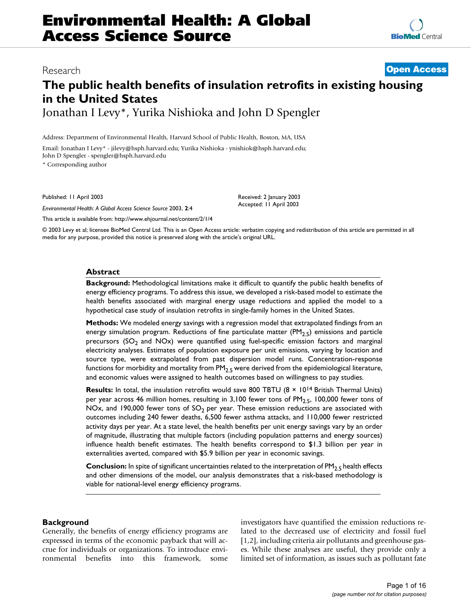# **The public health benefits of insulation retrofits in existing housing in the United States**

Jonathan I Levy\*, Yurika Nishioka and John D Spengler

Address: Department of Environmental Health, Harvard School of Public Health, Boston, MA, USA

Email: Jonathan I Levy\* - jilevy@hsph.harvard.edu; Yurika Nishioka - ynishiok@hsph.harvard.edu; John D Spengler - spengler@hsph.harvard.edu

\* Corresponding author

Published: 11 April 2003

*Environmental Health: A Global Access Science Source* 2003, **2**:4

[This article is available from: http://www.ehjournal.net/content/2/1/4](http://www.ehjournal.net/content/2/1/4)

© 2003 Levy et al; licensee BioMed Central Ltd. This is an Open Access article: verbatim copying and redistribution of this article are permitted in all media for any purpose, provided this notice is preserved along with the article's original URL.

# **Abstract**

**Background:** Methodological limitations make it difficult to quantify the public health benefits of energy efficiency programs. To address this issue, we developed a risk-based model to estimate the health benefits associated with marginal energy usage reductions and applied the model to a hypothetical case study of insulation retrofits in single-family homes in the United States.

Received: 2 January 2003 Accepted: 11 April 2003

**Methods:** We modeled energy savings with a regression model that extrapolated findings from an energy simulation program. Reductions of fine particulate matter (PM<sub>25</sub>) emissions and particle precursors ( $SO<sub>2</sub>$  and  $NOx$ ) were quantified using fuel-specific emission factors and marginal electricity analyses. Estimates of population exposure per unit emissions, varying by location and source type, were extrapolated from past dispersion model runs. Concentration-response functions for morbidity and mortality from PM<sub>2</sub>, were derived from the epidemiological literature, and economic values were assigned to health outcomes based on willingness to pay studies.

**Results:** In total, the insulation retrofits would save 800 TBTU (8 × 10<sup>14</sup> British Thermal Units) per year across 46 million homes, resulting in 3,100 fewer tons of PM<sub>25</sub>, 100,000 fewer tons of NOx, and 190,000 fewer tons of  $SO<sub>2</sub>$  per year. These emission reductions are associated with outcomes including 240 fewer deaths, 6,500 fewer asthma attacks, and 110,000 fewer restricted activity days per year. At a state level, the health benefits per unit energy savings vary by an order of magnitude, illustrating that multiple factors (including population patterns and energy sources) influence health benefit estimates. The health benefits correspond to \$1.3 billion per year in externalities averted, compared with \$5.9 billion per year in economic savings.

**Conclusion:** In spite of significant uncertainties related to the interpretation of PM<sub>2</sub>, health effects and other dimensions of the model, our analysis demonstrates that a risk-based methodology is viable for national-level energy efficiency programs.

# **Background**

Generally, the benefits of energy efficiency programs are expressed in terms of the economic payback that will accrue for individuals or organizations. To introduce environmental benefits into this framework, some investigators have quantified the emission reductions related to the decreased use of electricity and fossil fuel [1,2], including criteria air pollutants and greenhouse gases. While these analyses are useful, they provide only a limited set of information, as issues such as pollutant fate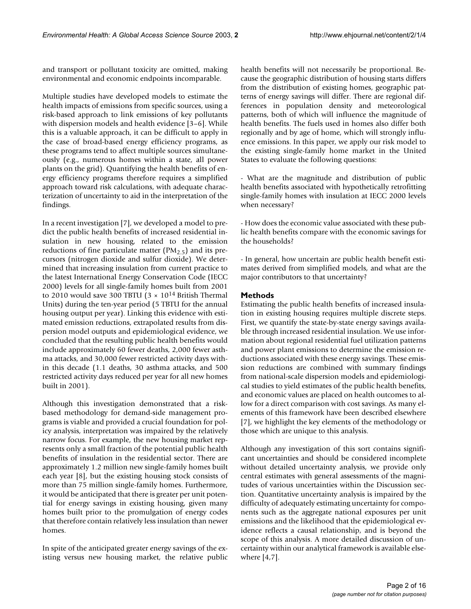and transport or pollutant toxicity are omitted, making environmental and economic endpoints incomparable.

Multiple studies have developed models to estimate the health impacts of emissions from specific sources, using a risk-based approach to link emissions of key pollutants with dispersion models and health evidence [3–6]. While this is a valuable approach, it can be difficult to apply in the case of broad-based energy efficiency programs, as these programs tend to affect multiple sources simultaneously (e.g., numerous homes within a state, all power plants on the grid). Quantifying the health benefits of energy efficiency programs therefore requires a simplified approach toward risk calculations, with adequate characterization of uncertainty to aid in the interpretation of the findings.

In a recent investigation [7], we developed a model to predict the public health benefits of increased residential insulation in new housing, related to the emission reductions of fine particulate matter ( $PM<sub>2.5</sub>$ ) and its precursors (nitrogen dioxide and sulfur dioxide). We determined that increasing insulation from current practice to the latest International Energy Conservation Code (IECC 2000) levels for all single-family homes built from 2001 to 2010 would save 300 TBTU (3  $\times$  10<sup>14</sup> British Thermal Units) during the ten-year period (5 TBTU for the annual housing output per year). Linking this evidence with estimated emission reductions, extrapolated results from dispersion model outputs and epidemiological evidence, we concluded that the resulting public health benefits would include approximately 60 fewer deaths, 2,000 fewer asthma attacks, and 30,000 fewer restricted activity days within this decade (1.1 deaths, 30 asthma attacks, and 500 restricted activity days reduced per year for all new homes built in 2001).

Although this investigation demonstrated that a riskbased methodology for demand-side management programs is viable and provided a crucial foundation for policy analysis, interpretation was impaired by the relatively narrow focus. For example, the new housing market represents only a small fraction of the potential public health benefits of insulation in the residential sector. There are approximately 1.2 million new single-family homes built each year [8], but the existing housing stock consists of more than 75 million single-family homes. Furthermore, it would be anticipated that there is greater per unit potential for energy savings in existing housing, given many homes built prior to the promulgation of energy codes that therefore contain relatively less insulation than newer homes.

In spite of the anticipated greater energy savings of the existing versus new housing market, the relative public health benefits will not necessarily be proportional. Because the geographic distribution of housing starts differs from the distribution of existing homes, geographic patterns of energy savings will differ. There are regional differences in population density and meteorological patterns, both of which will influence the magnitude of health benefits. The fuels used in homes also differ both regionally and by age of home, which will strongly influence emissions. In this paper, we apply our risk model to the existing single-family home market in the United States to evaluate the following questions:

- What are the magnitude and distribution of public health benefits associated with hypothetically retrofitting single-family homes with insulation at IECC 2000 levels when necessary?

- How does the economic value associated with these public health benefits compare with the economic savings for the households?

- In general, how uncertain are public health benefit estimates derived from simplified models, and what are the major contributors to that uncertainty?

## **Methods**

Estimating the public health benefits of increased insulation in existing housing requires multiple discrete steps. First, we quantify the state-by-state energy savings available through increased residential insulation. We use information about regional residential fuel utilization patterns and power plant emissions to determine the emission reductions associated with these energy savings. These emission reductions are combined with summary findings from national-scale dispersion models and epidemiological studies to yield estimates of the public health benefits, and economic values are placed on health outcomes to allow for a direct comparison with cost savings. As many elements of this framework have been described elsewhere [7], we highlight the key elements of the methodology or those which are unique to this analysis.

Although any investigation of this sort contains significant uncertainties and should be considered incomplete without detailed uncertainty analysis, we provide only central estimates with general assessments of the magnitudes of various uncertainties within the Discussion section. Quantitative uncertainty analysis is impaired by the difficulty of adequately estimating uncertainty for components such as the aggregate national exposures per unit emissions and the likelihood that the epidemiological evidence reflects a causal relationship, and is beyond the scope of this analysis. A more detailed discussion of uncertainty within our analytical framework is available elsewhere [4,7].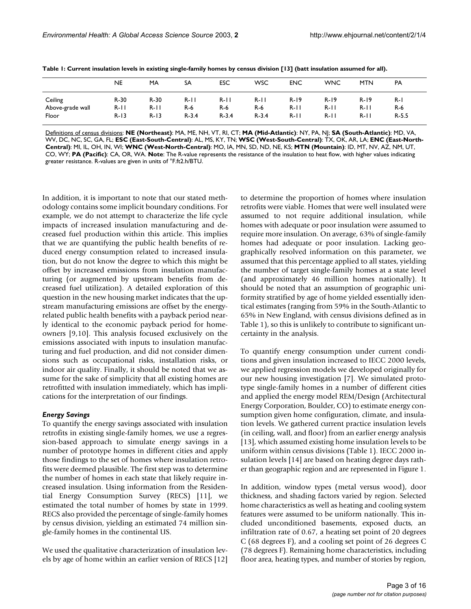|                  | <b>NE</b> | MA     | SΑ        | ESC       | <b>WSC</b> | <b>ENC</b> | <b>WNC</b> | <b>MTN</b> | PA        |
|------------------|-----------|--------|-----------|-----------|------------|------------|------------|------------|-----------|
| Ceiling          | $R-30$    | $R-30$ | $R-11$    | R-11      | $R-11$     | R-19       | $R-19$     | $R-19$     | $R - I$   |
| Above-grade wall | $R-11$    | $R-11$ | R-6       | R-6       | $R-6$      | R-11       | $R-11$     | $R-11$     | R-6       |
| Floor            | $R-13$    | $R-13$ | $R - 3.4$ | $R - 3.4$ | $R - 3.4$  | $R-11$     | $R-11$     | $R-11$     | $R - 5.5$ |

<span id="page-2-0"></span>**Table 1: Current insulation levels in existing single-family homes by census division [13] (batt insulation assumed for all).**

Definitions of census divisions: **NE (Northeast)**: MA, ME, NH, VT, RI, CT; **MA (Mid-Atlantic)**: NY, PA, NJ; **SA (South-Atlantic)**: MD, VA, WV, DC, NC, SC, GA, FL; **ESC (East-South-Central)**: AL, MS, KY, TN; **WSC (West-South-Central)**: TX, OK, AR, LA; **ENC (East-North-Central)**: MI, IL, OH, IN, WI; **WNC (West-North-Central)**: MO, IA, MN, SD, ND, NE, KS; **MTN (Mountain)**: ID, MT, NV, AZ, NM, UT, CO, WY; **PA (Pacific)**: CA, OR, WA. **Note**: The R-value represents the resistance of the insulation to heat flow, with higher values indicating greater resistance. R-values are given in units of °F.ft2.h/BTU.

In addition, it is important to note that our stated methodology contains some implicit boundary conditions. For example, we do not attempt to characterize the life cycle impacts of increased insulation manufacturing and decreased fuel production within this article. This implies that we are quantifying the public health benefits of reduced energy consumption related to increased insulation, but do not know the degree to which this might be offset by increased emissions from insulation manufacturing (or augmented by upstream benefits from decreased fuel utilization). A detailed exploration of this question in the new housing market indicates that the upstream manufacturing emissions are offset by the energyrelated public health benefits with a payback period nearly identical to the economic payback period for homeowners [9,10]. This analysis focused exclusively on the emissions associated with inputs to insulation manufacturing and fuel production, and did not consider dimensions such as occupational risks, installation risks, or indoor air quality. Finally, it should be noted that we assume for the sake of simplicity that all existing homes are retrofitted with insulation immediately, which has implications for the interpretation of our findings.

### *Energy Savings*

To quantify the energy savings associated with insulation retrofits in existing single-family homes, we use a regression-based approach to simulate energy savings in a number of prototype homes in different cities and apply those findings to the set of homes where insulation retrofits were deemed plausible. The first step was to determine the number of homes in each state that likely require increased insulation. Using information from the Residential Energy Consumption Survey (RECS) [11], we estimated the total number of homes by state in 1999. RECS also provided the percentage of single-family homes by census division, yielding an estimated 74 million single-family homes in the continental US.

We used the qualitative characterization of insulation levels by age of home within an earlier version of RECS [12] to determine the proportion of homes where insulation retrofits were viable. Homes that were well insulated were assumed to not require additional insulation, while homes with adequate or poor insulation were assumed to require more insulation. On average, 63% of single-family homes had adequate or poor insulation. Lacking geographically resolved information on this parameter, we assumed that this percentage applied to all states, yielding the number of target single-family homes at a state level (and approximately 46 million homes nationally). It should be noted that an assumption of geographic uniformity stratified by age of home yielded essentially identical estimates (ranging from 59% in the South-Atlantic to 65% in New England, with census divisions defined as in Table [1\)](#page-2-0), so this is unlikely to contribute to significant uncertainty in the analysis.

To quantify energy consumption under current conditions and given insulation increased to IECC 2000 levels, we applied regression models we developed originally for our new housing investigation [7]. We simulated prototype single-family homes in a number of different cities and applied the energy model REM/Design (Architectural Energy Corporation, Boulder, CO) to estimate energy consumption given home configuration, climate, and insulation levels. We gathered current practice insulation levels (in ceiling, wall, and floor) from an earlier energy analysis [13], which assumed existing home insulation levels to be uniform within census divisions (Table [1](#page-2-0)). IECC 2000 insulation levels [14] are based on heating degree days rather than geographic region and are represented in Figure [1.](#page-3-0)

In addition, window types (metal versus wood), door thickness, and shading factors varied by region. Selected home characteristics as well as heating and cooling system features were assumed to be uniform nationally. This included unconditioned basements, exposed ducts, an infiltration rate of 0.67, a heating set point of 20 degrees C (68 degrees F), and a cooling set point of 26 degrees C (78 degrees F). Remaining home characteristics, including floor area, heating types, and number of stories by region,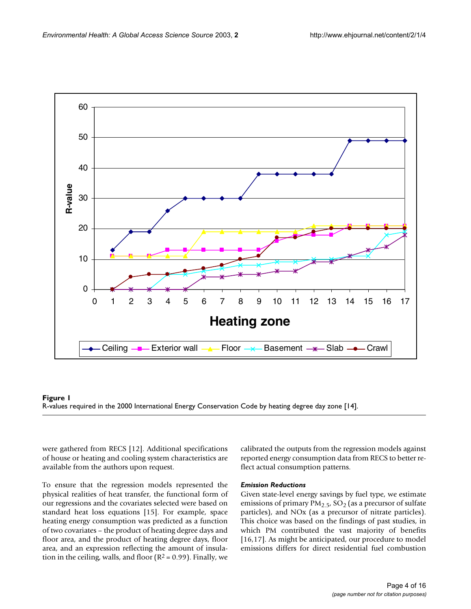<span id="page-3-0"></span>

**Figure 1** R-values required in the 2000 International Energy Conservation Code by heating degree day zone [14].

were gathered from RECS [12]. Additional specifications of house or heating and cooling system characteristics are available from the authors upon request.

To ensure that the regression models represented the physical realities of heat transfer, the functional form of our regressions and the covariates selected were based on standard heat loss equations [15]. For example, space heating energy consumption was predicted as a function of two covariates – the product of heating degree days and floor area, and the product of heating degree days, floor area, and an expression reflecting the amount of insulation in the ceiling, walls, and floor ( $R^2 = 0.99$ ). Finally, we calibrated the outputs from the regression models against reported energy consumption data from RECS to better reflect actual consumption patterns.

## *Emission Reductions*

Given state-level energy savings by fuel type, we estimate emissions of primary  $PM_{2,5}$ , SO<sub>2</sub> (as a precursor of sulfate particles), and NOx (as a precursor of nitrate particles). This choice was based on the findings of past studies, in which PM contributed the vast majority of benefits [16,17]. As might be anticipated, our procedure to model emissions differs for direct residential fuel combustion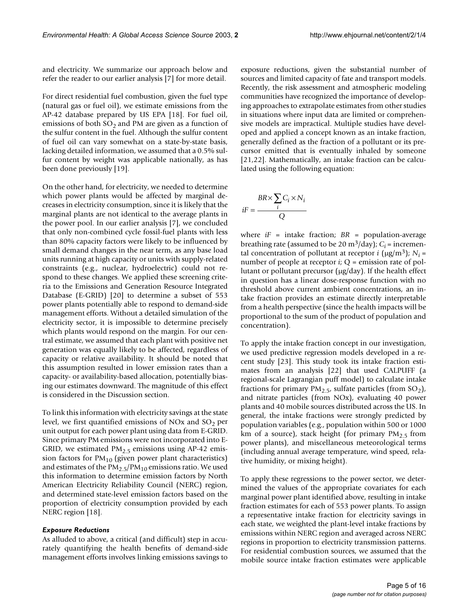and electricity. We summarize our approach below and refer the reader to our earlier analysis [7] for more detail.

For direct residential fuel combustion, given the fuel type (natural gas or fuel oil), we estimate emissions from the AP-42 database prepared by US EPA [18]. For fuel oil, emissions of both  $SO<sub>2</sub>$  and PM are given as a function of the sulfur content in the fuel. Although the sulfur content of fuel oil can vary somewhat on a state-by-state basis, lacking detailed information, we assumed that a 0.5% sulfur content by weight was applicable nationally, as has been done previously [19].

On the other hand, for electricity, we needed to determine which power plants would be affected by marginal decreases in electricity consumption, since it is likely that the marginal plants are not identical to the average plants in the power pool. In our earlier analysis [7], we concluded that only non-combined cycle fossil-fuel plants with less than 80% capacity factors were likely to be influenced by small demand changes in the near term, as any base load units running at high capacity or units with supply-related constraints (e.g., nuclear, hydroelectric) could not respond to these changes. We applied these screening criteria to the Emissions and Generation Resource Integrated Database (E-GRID) [20] to determine a subset of 553 power plants potentially able to respond to demand-side management efforts. Without a detailed simulation of the electricity sector, it is impossible to determine precisely which plants would respond on the margin. For our central estimate, we assumed that each plant with positive net generation was equally likely to be affected, regardless of capacity or relative availability. It should be noted that this assumption resulted in lower emission rates than a capacity- or availability-based allocation, potentially biasing our estimates downward. The magnitude of this effect is considered in the Discussion section.

To link this information with electricity savings at the state level, we first quantified emissions of NOx and  $SO<sub>2</sub>$  per unit output for each power plant using data from E-GRID. Since primary PM emissions were not incorporated into E-GRID, we estimated  $PM<sub>2.5</sub>$  emissions using AP-42 emission factors for  $PM_{10}$  (given power plant characteristics) and estimates of the  $PM_{2.5}/PM_{10}$  emissions ratio. We used this information to determine emission factors by North American Electricity Reliability Council (NERC) region, and determined state-level emission factors based on the proportion of electricity consumption provided by each NERC region [18].

#### *Exposure Reductions*

As alluded to above, a critical (and difficult) step in accurately quantifying the health benefits of demand-side management efforts involves linking emissions savings to

exposure reductions, given the substantial number of sources and limited capacity of fate and transport models. Recently, the risk assessment and atmospheric modeling communities have recognized the importance of developing approaches to extrapolate estimates from other studies in situations where input data are limited or comprehensive models are impractical. Multiple studies have developed and applied a concept known as an intake fraction, generally defined as the fraction of a pollutant or its precursor emitted that is eventually inhaled by someone [21,22]. Mathematically, an intake fraction can be calculated using the following equation:

$$
iF = \frac{BR \times \sum_{i} C_i \times N_i}{Q}
$$

where *iF* = intake fraction; *BR* = population-average breathing rate (assumed to be 20  $\mathrm{m}^3/\mathrm{day}$ );  $C_i$  = incremental concentration of pollutant at receptor *i* ( $\mu$ g/m<sup>3</sup>); *N<sub>i</sub>* = number of people at receptor *i*; Q = emission rate of pollutant or pollutant precursor (µg/day). If the health effect in question has a linear dose-response function with no threshold above current ambient concentrations, an intake fraction provides an estimate directly interpretable from a health perspective (since the health impacts will be proportional to the sum of the product of population and concentration).

To apply the intake fraction concept in our investigation, we used predictive regression models developed in a recent study [23]. This study took its intake fraction estimates from an analysis [22] that used CALPUFF (a regional-scale Lagrangian puff model) to calculate intake fractions for primary  $PM_{2.5}$ , sulfate particles (from SO<sub>2</sub>), and nitrate particles (from NOx), evaluating 40 power plants and 40 mobile sources distributed across the US. In general, the intake fractions were strongly predicted by population variables (e.g., population within 500 or 1000 km of a source), stack height (for primary  $PM_{2.5}$  from power plants), and miscellaneous meteorological terms (including annual average temperature, wind speed, relative humidity, or mixing height).

To apply these regressions to the power sector, we determined the values of the appropriate covariates for each marginal power plant identified above, resulting in intake fraction estimates for each of 553 power plants. To assign a representative intake fraction for electricity savings in each state, we weighted the plant-level intake fractions by emissions within NERC region and averaged across NERC regions in proportion to electricity transmission patterns. For residential combustion sources, we assumed that the mobile source intake fraction estimates were applicable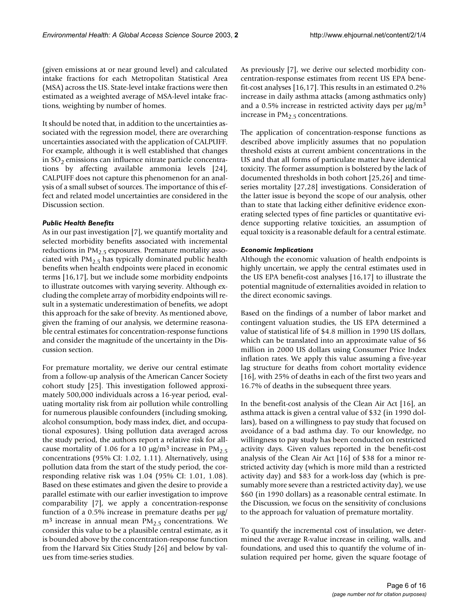(given emissions at or near ground level) and calculated intake fractions for each Metropolitan Statistical Area (MSA) across the US. State-level intake fractions were then estimated as a weighted average of MSA-level intake fractions, weighting by number of homes.

It should be noted that, in addition to the uncertainties associated with the regression model, there are overarching uncertainties associated with the application of CALPUFF. For example, although it is well established that changes in  $SO<sub>2</sub>$  emissions can influence nitrate particle concentrations by affecting available ammonia levels [24], CALPUFF does not capture this phenomenon for an analysis of a small subset of sources. The importance of this effect and related model uncertainties are considered in the Discussion section.

## *Public Health Benefits*

As in our past investigation [7], we quantify mortality and selected morbidity benefits associated with incremental reductions in  $PM<sub>2.5</sub>$  exposures. Premature mortality associated with  $PM<sub>2.5</sub>$  has typically dominated public health benefits when health endpoints were placed in economic terms [16,17], but we include some morbidity endpoints to illustrate outcomes with varying severity. Although excluding the complete array of morbidity endpoints will result in a systematic underestimation of benefits, we adopt this approach for the sake of brevity. As mentioned above, given the framing of our analysis, we determine reasonable central estimates for concentration-response functions and consider the magnitude of the uncertainty in the Discussion section.

For premature mortality, we derive our central estimate from a follow-up analysis of the American Cancer Society cohort study [25]. This investigation followed approximately 500,000 individuals across a 16-year period, evaluating mortality risk from air pollution while controlling for numerous plausible confounders (including smoking, alcohol consumption, body mass index, diet, and occupational exposures). Using pollution data averaged across the study period, the authors report a relative risk for allcause mortality of 1.06 for a 10  $\mu$ g/m<sup>3</sup> increase in PM<sub>2.5</sub> concentrations (95% CI: 1.02, 1.11). Alternatively, using pollution data from the start of the study period, the corresponding relative risk was 1.04 (95% CI: 1.01, 1.08). Based on these estimates and given the desire to provide a parallel estimate with our earlier investigation to improve comparability [7], we apply a concentration-response function of a 0.5% increase in premature deaths per µg/  $m<sup>3</sup>$  increase in annual mean PM<sub>2.5</sub> concentrations. We consider this value to be a plausible central estimate, as it is bounded above by the concentration-response function from the Harvard Six Cities Study [26] and below by values from time-series studies.

As previously [7], we derive our selected morbidity concentration-response estimates from recent US EPA benefit-cost analyses [16,17]. This results in an estimated 0.2% increase in daily asthma attacks (among asthmatics only) and a 0.5% increase in restricted activity days per  $\mu$ g/m<sup>3</sup> increase in  $PM<sub>2.5</sub>$  concentrations.

The application of concentration-response functions as described above implicitly assumes that no population threshold exists at current ambient concentrations in the US and that all forms of particulate matter have identical toxicity. The former assumption is bolstered by the lack of documented thresholds in both cohort [25,26] and timeseries mortality [27,28] investigations. Consideration of the latter issue is beyond the scope of our analysis, other than to state that lacking either definitive evidence exonerating selected types of fine particles or quantitative evidence supporting relative toxicities, an assumption of equal toxicity is a reasonable default for a central estimate.

## *Economic Implications*

Although the economic valuation of health endpoints is highly uncertain, we apply the central estimates used in the US EPA benefit-cost analyses [16,17] to illustrate the potential magnitude of externalities avoided in relation to the direct economic savings.

Based on the findings of a number of labor market and contingent valuation studies, the US EPA determined a value of statistical life of \$4.8 million in 1990 US dollars, which can be translated into an approximate value of \$6 million in 2000 US dollars using Consumer Price Index inflation rates. We apply this value assuming a five-year lag structure for deaths from cohort mortality evidence [16], with 25% of deaths in each of the first two years and 16.7% of deaths in the subsequent three years.

In the benefit-cost analysis of the Clean Air Act [16], an asthma attack is given a central value of \$32 (in 1990 dollars), based on a willingness to pay study that focused on avoidance of a bad asthma day. To our knowledge, no willingness to pay study has been conducted on restricted activity days. Given values reported in the benefit-cost analysis of the Clean Air Act [16] of \$38 for a minor restricted activity day (which is more mild than a restricted activity day) and \$83 for a work-loss day (which is presumably more severe than a restricted activity day), we use \$60 (in 1990 dollars) as a reasonable central estimate. In the Discussion, we focus on the sensitivity of conclusions to the approach for valuation of premature mortality.

To quantify the incremental cost of insulation, we determined the average R-value increase in ceiling, walls, and foundations, and used this to quantify the volume of insulation required per home, given the square footage of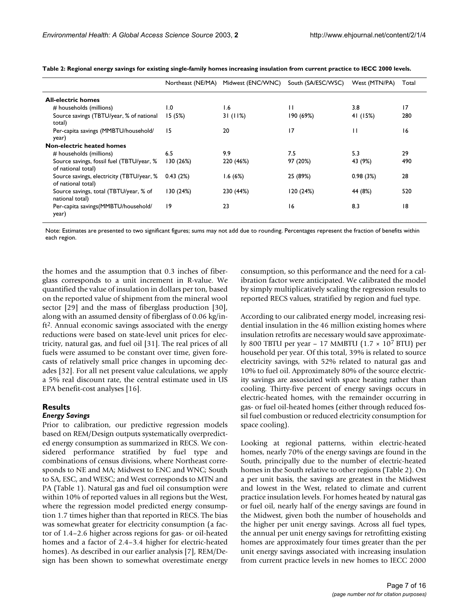|                                                                 |           | Northeast (NE/MA) Midwest (ENC/WNC) | South (SA/ESC/WSC) | West (MTN/PA) | Total |
|-----------------------------------------------------------------|-----------|-------------------------------------|--------------------|---------------|-------|
| <b>All-electric homes</b>                                       |           |                                     |                    |               |       |
| # households (millions)                                         | 1.0       | 1.6                                 | П                  | 3.8           | 17    |
| Source savings (TBTU/year, % of national<br>total)              | 15(5%)    | 31(11%)                             | 190 (69%)          | 41 (15%)      | 280   |
| Per-capita savings (MMBTU/household/<br>year)                   | 15        | 20                                  | 17                 | $\mathbf{H}$  | 16    |
| <b>Non-electric heated homes</b>                                |           |                                     |                    |               |       |
| # households (millions)                                         | 6.5       | 9.9                                 | 7.5                | 5.3           | 29    |
| Source savings, fossil fuel (TBTU/year, %<br>of national total) | 130 (26%) | 220 (46%)                           | 97 (20%)           | 43 (9%)       | 490   |
| Source savings, electricity (TBTU/year, %<br>of national total) | 0.43(2%)  | 1.6(6%)                             | 25 (89%)           | 0.98(3%)      | 28    |
| Source savings, total (TBTU/year, % of<br>national total)       | 130 (24%) | 230 (44%)                           | 120 (24%)          | 44 (8%)       | 520   |
| Per-capita savings(MMBTU/household/<br>year)                    | 19        | 23                                  | 16                 | 8.3           | 18    |

<span id="page-6-0"></span>**Table 2: Regional energy savings for existing single-family homes increasing insulation from current practice to IECC 2000 levels.**

Note: Estimates are presented to two significant figures; sums may not add due to rounding. Percentages represent the fraction of benefits within each region.

the homes and the assumption that 0.3 inches of fiberglass corresponds to a unit increment in R-value. We quantified the value of insulation in dollars per ton, based on the reported value of shipment from the mineral wool sector [29] and the mass of fiberglass production [30], along with an assumed density of fiberglass of 0.06 kg/inft2. Annual economic savings associated with the energy reductions were based on state-level unit prices for electricity, natural gas, and fuel oil [31]. The real prices of all fuels were assumed to be constant over time, given forecasts of relatively small price changes in upcoming decades [32]. For all net present value calculations, we apply a 5% real discount rate, the central estimate used in US EPA benefit-cost analyses [16].

# **Results**

## *Energy Savings*

Prior to calibration, our predictive regression models based on REM/Design outputs systematically overpredicted energy consumption as summarized in RECS. We considered performance stratified by fuel type and combinations of census divisions, where Northeast corresponds to NE and MA; Midwest to ENC and WNC; South to SA, ESC, and WESC; and West corresponds to MTN and PA (Table [1\)](#page-2-0). Natural gas and fuel oil consumption were within 10% of reported values in all regions but the West, where the regression model predicted energy consumption 1.7 times higher than that reported in RECS. The bias was somewhat greater for electricity consumption (a factor of 1.4–2.6 higher across regions for gas- or oil-heated homes and a factor of 2.4–3.4 higher for electric-heated homes). As described in our earlier analysis [7], REM/Design has been shown to somewhat overestimate energy consumption, so this performance and the need for a calibration factor were anticipated. We calibrated the model by simply multiplicatively scaling the regression results to reported RECS values, stratified by region and fuel type.

According to our calibrated energy model, increasing residential insulation in the 46 million existing homes where insulation retrofits are necessary would save approximately 800 TBTU per year – 17 MMBTU (1.7 × 107 BTU) per household per year. Of this total, 39% is related to source electricity savings, with 52% related to natural gas and 10% to fuel oil. Approximately 80% of the source electricity savings are associated with space heating rather than cooling. Thirty-five percent of energy savings occurs in electric-heated homes, with the remainder occurring in gas- or fuel oil-heated homes (either through reduced fossil fuel combustion or reduced electricity consumption for space cooling).

Looking at regional patterns, within electric-heated homes, nearly 70% of the energy savings are found in the South, principally due to the number of electric-heated homes in the South relative to other regions (Table [2\)](#page-6-0). On a per unit basis, the savings are greatest in the Midwest and lowest in the West, related to climate and current practice insulation levels. For homes heated by natural gas or fuel oil, nearly half of the energy savings are found in the Midwest, given both the number of households and the higher per unit energy savings. Across all fuel types, the annual per unit energy savings for retrofitting existing homes are approximately four times greater than the per unit energy savings associated with increasing insulation from current practice levels in new homes to IECC 2000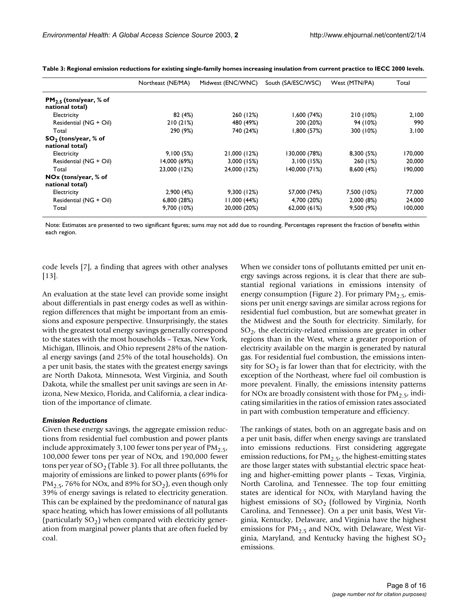|                                              | Northeast (NE/MA) | Midwest (ENC/WNC) | South (SA/ESC/WSC) | West (MTN/PA) | Total   |
|----------------------------------------------|-------------------|-------------------|--------------------|---------------|---------|
| $PM_2$ , (tons/year, % of<br>national total) |                   |                   |                    |               |         |
| Electricity                                  | 82 (4%)           | 260 (12%)         | 1,600(74%)         | 210 (10%)     | 2,100   |
| Residential (NG + Oil)                       | 210(21%)          | 480 (49%)         | 200 (20%)          | 94 (10%)      | 990     |
| Total                                        | 290 (9%)          | 740 (24%)         | 1,800 (57%)        | 300 (10%)     | 3,100   |
| $SO2$ (tons/year, % of<br>national total)    |                   |                   |                    |               |         |
| Electricity                                  | 9,100(5%)         | 21,000 (12%)      | 130,000 (78%)      | 8,300 (5%)    | 170,000 |
| Residential (NG + Oil)                       | 14,000 (69%)      | 3,000(15%)        | 3,100(15%)         | 260(1%)       | 20,000  |
| Total                                        | 23,000 (12%)      | 24,000 (12%)      | 140,000 (71%)      | 8,600 (4%)    | 190,000 |
| NOx (tons/year, % of<br>national total)      |                   |                   |                    |               |         |
| Electricity                                  | 2,900 (4%)        | 9,300(12%)        | 57,000 (74%)       | 7,500 (10%)   | 77,000  |
| Residential (NG + Oil)                       | 6,800 (28%)       | 11,000 (44%)      | 4,700 (20%)        | 2,000 (8%)    | 24,000  |
| Total                                        | 9,700 (10%)       | 20,000 (20%)      | 62,000 (61%)       | 9,500 (9%)    | 100,000 |

<span id="page-7-0"></span>**Table 3: Regional emission reductions for existing single-family homes increasing insulation from current practice to IECC 2000 levels.**

Note: Estimates are presented to two significant figures; sums may not add due to rounding. Percentages represent the fraction of benefits within each region.

code levels [7], a finding that agrees with other analyses [13].

An evaluation at the state level can provide some insight about differentials in past energy codes as well as withinregion differences that might be important from an emissions and exposure perspective. Unsurprisingly, the states with the greatest total energy savings generally correspond to the states with the most households – Texas, New York, Michigan, Illinois, and Ohio represent 28% of the national energy savings (and 25% of the total households). On a per unit basis, the states with the greatest energy savings are North Dakota, Minnesota, West Virginia, and South Dakota, while the smallest per unit savings are seen in Arizona, New Mexico, Florida, and California, a clear indication of the importance of climate.

#### *Emission Reductions*

Given these energy savings, the aggregate emission reductions from residential fuel combustion and power plants include approximately 3,100 fewer tons per year of  $PM<sub>2.5</sub>$ , 100,000 fewer tons per year of NOx, and 190,000 fewer tons per year of  $SO_2$  (Table [3\)](#page-7-0). For all three pollutants, the majority of emissions are linked to power plants (69% for  $PM_{2.5}$ , 76% for NOx, and 89% for SO<sub>2</sub>), even though only 39% of energy savings is related to electricity generation. This can be explained by the predominance of natural gas space heating, which has lower emissions of all pollutants (particularly  $SO_2$ ) when compared with electricity generation from marginal power plants that are often fueled by coal.

When we consider tons of pollutants emitted per unit energy savings across regions, it is clear that there are substantial regional variations in emissions intensity of energy consumption (Figure 2). For primary  $PM_{2.5}$ , emissions per unit energy savings are similar across regions for residential fuel combustion, but are somewhat greater in the Midwest and the South for electricity. Similarly, for  $SO<sub>2</sub>$ , the electricity-related emissions are greater in other regions than in the West, where a greater proportion of electricity available on the margin is generated by natural gas. For residential fuel combustion, the emissions intensity for  $SO_2$  is far lower than that for electricity, with the exception of the Northeast, where fuel oil combustion is more prevalent. Finally, the emissions intensity patterns for NOx are broadly consistent with those for  $PM<sub>2.5</sub>$ , indicating similarities in the ratios of emission rates associated in part with combustion temperature and efficiency.

The rankings of states, both on an aggregate basis and on a per unit basis, differ when energy savings are translated into emissions reductions. First considering aggregate emission reductions, for  $PM<sub>2.5</sub>$ , the highest-emitting states are those larger states with substantial electric space heating and higher-emitting power plants – Texas, Virginia, North Carolina, and Tennessee. The top four emitting states are identical for NOx, with Maryland having the highest emissions of  $SO<sub>2</sub>$  (followed by Virginia, North Carolina, and Tennessee). On a per unit basis, West Virginia, Kentucky, Delaware, and Virginia have the highest emissions for  $PM<sub>2.5</sub>$  and NOx, with Delaware, West Virginia, Maryland, and Kentucky having the highest  $SO<sub>2</sub>$ emissions.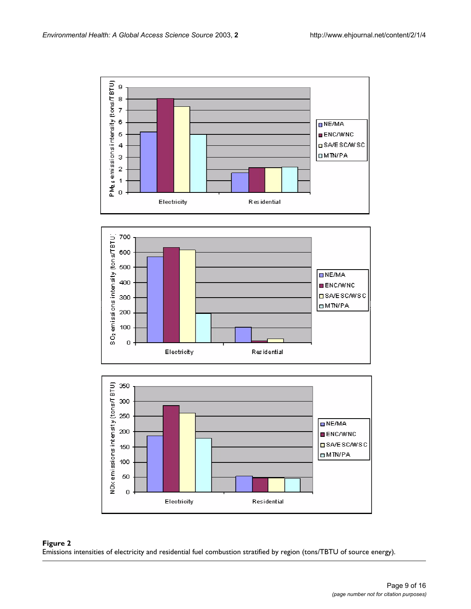





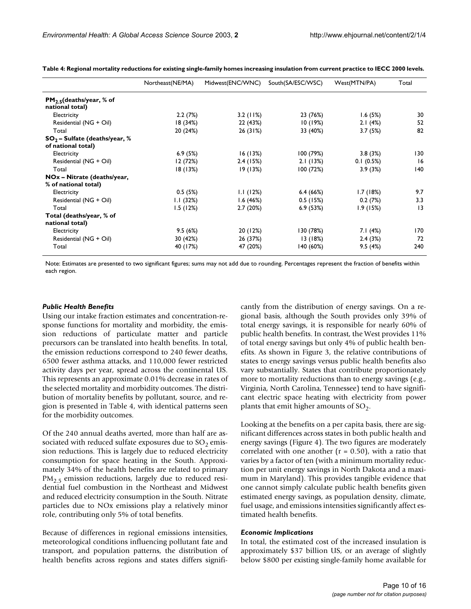|                                 | Northeast(NE/MA) | Midwest(ENC/WNC) | South(SA/ESC/WSC) | West(MTN/PA) | Total |
|---------------------------------|------------------|------------------|-------------------|--------------|-------|
| $PM_2$ s (deaths/year, % of     |                  |                  |                   |              |       |
| national total)                 |                  |                  |                   |              |       |
| Electricity                     | 2.2(7%)          | 3.2(11%)         | 23 (76%)          | 1.6(5%)      | 30    |
| Residential (NG + Oil)          | 18 (34%)         | 22 (43%)         | 10(19%)           | 2.1(4%)      | 52    |
| Total                           | 20 (24%)         | 26 (31%)         | 33 (40%)          | 3.7(5%)      | 82    |
| $SO2$ – Sulfate (deaths/year, % |                  |                  |                   |              |       |
| of national total)              |                  |                  |                   |              |       |
| Electricity                     | 6.9(5%)          | 16(13%)          | 100 (79%)         | 3.8(3%)      | 130   |
| Residential (NG + Oil)          | 12 (72%)         | 2.4(15%)         | 2.1(13%)          | 0.1(0.5%)    | 16    |
| Total                           | 18(13%)          | 19(13%)          | 100 (72%)         | 3.9(3%)      | 140   |
| NOx - Nitrate (deaths/year,     |                  |                  |                   |              |       |
| % of national total)            |                  |                  |                   |              |       |
| Electricity                     | 0.5(5%)          | 1.1(12%)         | 6.4(66%)          | 1.7(18%)     | 9.7   |
| Residential (NG + Oil)          | 1.1(32%)         | 1.6(46%)         | 0.5(15%)          | 0.2(7%)      | 3.3   |
| Total                           | 1.5(12%)         | 2.7(20%)         | 6.9(53%)          | 1.9(15%)     | 13    |
| Total (deaths/year, % of        |                  |                  |                   |              |       |
| national total)                 |                  |                  |                   |              |       |
| Electricity                     | 9.5(6%)          | 20 (12%)         | 130 (78%)         | 7.1(4%)      | 170   |
| Residential (NG + Oil)          | 30 (42%)         | 26 (37%)         | 13(18%)           | 2.4(3%)      | 72    |
| Total                           | 40 (17%)         | 47 (20%)         | 140 (60%)         | 9.5(4%)      | 240   |

<span id="page-9-0"></span>**Table 4: Regional mortality reductions for existing single-family homes increasing insulation from current practice to IECC 2000 levels.**

Note: Estimates are presented to two significant figures; sums may not add due to rounding. Percentages represent the fraction of benefits within each region.

#### *Public Health Benefits*

Using our intake fraction estimates and concentration-response functions for mortality and morbidity, the emission reductions of particulate matter and particle precursors can be translated into health benefits. In total, the emission reductions correspond to 240 fewer deaths, 6500 fewer asthma attacks, and 110,000 fewer restricted activity days per year, spread across the continental US. This represents an approximate 0.01% decrease in rates of the selected mortality and morbidity outcomes. The distribution of mortality benefits by pollutant, source, and region is presented in Table [4,](#page-9-0) with identical patterns seen for the morbidity outcomes.

Of the 240 annual deaths averted, more than half are associated with reduced sulfate exposures due to  $SO_2$  emission reductions. This is largely due to reduced electricity consumption for space heating in the South. Approximately 34% of the health benefits are related to primary  $PM<sub>2.5</sub>$  emission reductions, largely due to reduced residential fuel combustion in the Northeast and Midwest and reduced electricity consumption in the South. Nitrate particles due to NOx emissions play a relatively minor role, contributing only 5% of total benefits.

Because of differences in regional emissions intensities, meteorological conditions influencing pollutant fate and transport, and population patterns, the distribution of health benefits across regions and states differs significantly from the distribution of energy savings. On a regional basis, although the South provides only 39% of total energy savings, it is responsible for nearly 60% of public health benefits. In contrast, the West provides 11% of total energy savings but only 4% of public health benefits. As shown in Figure 3, the relative contributions of states to energy savings versus public health benefits also vary substantially. States that contribute proportionately more to mortality reductions than to energy savings (e.g., Virginia, North Carolina, Tennessee) tend to have significant electric space heating with electricity from power plants that emit higher amounts of  $SO_2$ .

Looking at the benefits on a per capita basis, there are significant differences across states in both public health and energy savings (Figure [4](#page-11-0)). The two figures are moderately correlated with one another  $(r = 0.50)$ , with a ratio that varies by a factor of ten (with a minimum mortality reduction per unit energy savings in North Dakota and a maximum in Maryland). This provides tangible evidence that one cannot simply calculate public health benefits given estimated energy savings, as population density, climate, fuel usage, and emissions intensities significantly affect estimated health benefits.

## *Economic Implications*

In total, the estimated cost of the increased insulation is approximately \$37 billion US, or an average of slightly below \$800 per existing single-family home available for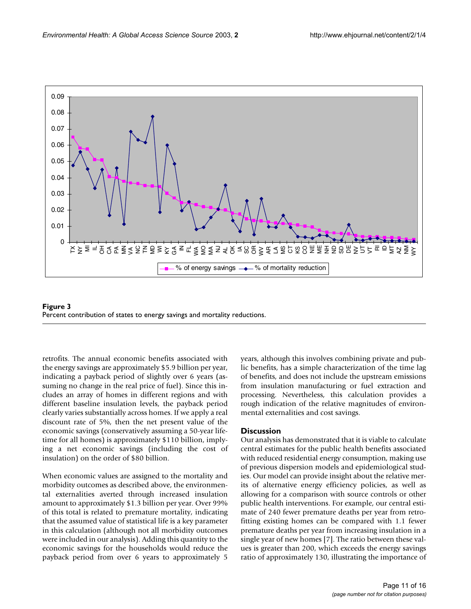



retrofits. The annual economic benefits associated with the energy savings are approximately \$5.9 billion per year, indicating a payback period of slightly over 6 years (assuming no change in the real price of fuel). Since this includes an array of homes in different regions and with different baseline insulation levels, the payback period clearly varies substantially across homes. If we apply a real discount rate of 5%, then the net present value of the economic savings (conservatively assuming a 50-year lifetime for all homes) is approximately \$110 billion, implying a net economic savings (including the cost of insulation) on the order of \$80 billion.

When economic values are assigned to the mortality and morbidity outcomes as described above, the environmental externalities averted through increased insulation amount to approximately \$1.3 billion per year. Over 99% of this total is related to premature mortality, indicating that the assumed value of statistical life is a key parameter in this calculation (although not all morbidity outcomes were included in our analysis). Adding this quantity to the economic savings for the households would reduce the payback period from over 6 years to approximately 5

years, although this involves combining private and public benefits, has a simple characterization of the time lag of benefits, and does not include the upstream emissions from insulation manufacturing or fuel extraction and processing. Nevertheless, this calculation provides a rough indication of the relative magnitudes of environmental externalities and cost savings.

# **Discussion**

Our analysis has demonstrated that it is viable to calculate central estimates for the public health benefits associated with reduced residential energy consumption, making use of previous dispersion models and epidemiological studies. Our model can provide insight about the relative merits of alternative energy efficiency policies, as well as allowing for a comparison with source controls or other public health interventions. For example, our central estimate of 240 fewer premature deaths per year from retrofitting existing homes can be compared with 1.1 fewer premature deaths per year from increasing insulation in a single year of new homes [7]. The ratio between these values is greater than 200, which exceeds the energy savings ratio of approximately 130, illustrating the importance of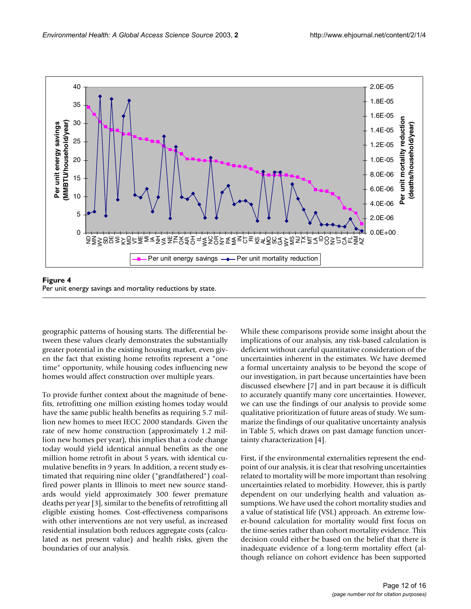<span id="page-11-0"></span>

**Figure 4** Per unit energy savings and mortality reductions by state.

geographic patterns of housing starts. The differential between these values clearly demonstrates the substantially greater potential in the existing housing market, even given the fact that existing home retrofits represent a "one time" opportunity, while housing codes influencing new homes would affect construction over multiple years.

To provide further context about the magnitude of benefits, retrofitting one million existing homes today would have the same public health benefits as requiring 5.7 million new homes to meet IECC 2000 standards. Given the rate of new home construction (approximately 1.2 million new homes per year), this implies that a code change today would yield identical annual benefits as the one million home retrofit in about 5 years, with identical cumulative benefits in 9 years. In addition, a recent study estimated that requiring nine older ("grandfathered") coalfired power plants in Illinois to meet new source standards would yield approximately 300 fewer premature deaths per year [3], similar to the benefits of retrofitting all eligible existing homes. Cost-effectiveness comparisons with other interventions are not very useful, as increased residential insulation both reduces aggregate costs (calculated as net present value) and health risks, given the boundaries of our analysis.

While these comparisons provide some insight about the implications of our analysis, any risk-based calculation is deficient without careful quantitative consideration of the uncertainties inherent in the estimates. We have deemed a formal uncertainty analysis to be beyond the scope of our investigation, in part because uncertainties have been discussed elsewhere [7] and in part because it is difficult to accurately quantify many core uncertainties. However, we can use the findings of our analysis to provide some qualitative prioritization of future areas of study. We summarize the findings of our qualitative uncertainty analysis in Table [5](#page-12-0), which draws on past damage function uncertainty characterization [4].

First, if the environmental externalities represent the endpoint of our analysis, it is clear that resolving uncertainties related to mortality will be more important than resolving uncertainties related to morbidity. However, this is partly dependent on our underlying health and valuation assumptions. We have used the cohort mortality studies and a value of statistical life (VSL) approach. An extreme lower-bound calculation for mortality would first focus on the time-series rather than cohort mortality evidence. This decision could either be based on the belief that there is inadequate evidence of a long-term mortality effect (although reliance on cohort evidence has been supported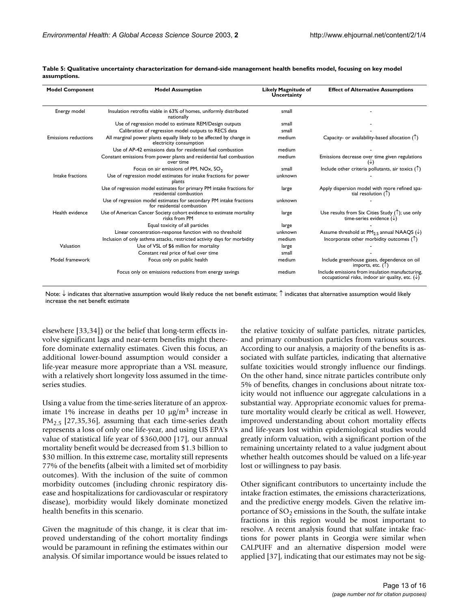| <b>Model Component</b>      | <b>Model Assumption</b>                                                                           | <b>Likely Magnitude of</b><br>Uncertainty | <b>Effect of Alternative Assumptions</b>                                                                        |  |
|-----------------------------|---------------------------------------------------------------------------------------------------|-------------------------------------------|-----------------------------------------------------------------------------------------------------------------|--|
| Energy model                | Insulation retrofits viable in 63% of homes, uniformly distributed<br>nationally                  | small                                     |                                                                                                                 |  |
|                             | Use of regression model to estimate REM/Design outputs                                            | small                                     |                                                                                                                 |  |
|                             | Calibration of regression model outputs to RECS data                                              | small                                     |                                                                                                                 |  |
| <b>Emissions reductions</b> | All marginal power plants equally likely to be affected by change in<br>electricity consumption   | medium                                    | Capacity- or availability-based allocation $($ $)$                                                              |  |
|                             | Use of AP-42 emissions data for residential fuel combustion                                       | medium                                    |                                                                                                                 |  |
|                             | Constant emissions from power plants and residential fuel combustion<br>over time                 | medium                                    | Emissions decrease over time given regulations                                                                  |  |
|                             | Focus on air emissions of PM, NOx, $SO2$                                                          | small                                     | Include other criteria pollutants, air toxics $(\uparrow)$                                                      |  |
| Intake fractions            | Use of regression model estimates for intake fractions for power<br>plants                        | unknown                                   |                                                                                                                 |  |
|                             | Use of regression model estimates for primary PM intake fractions for<br>residential combustion   | large                                     | Apply dispersion model with more refined spa-<br>tial resolution $(\uparrow)$                                   |  |
|                             | Use of regression model estimates for secondary PM intake fractions<br>for residential combustion | unknown                                   |                                                                                                                 |  |
| Health evidence             | Use of American Cancer Society cohort evidence to estimate mortality<br>risks from PM             | large                                     | Use results from Six Cities Study $($ $)$ ; use only<br>time-series evidence $(\downarrow)$                     |  |
|                             | Equal toxicity of all particles                                                                   | large                                     |                                                                                                                 |  |
|                             | Linear concentration-response function with no threshold                                          | unknown                                   | Assume threshold at PM <sub>2</sub> s annual NAAQS ( $\downarrow$ )                                             |  |
|                             | Inclusion of only asthma attacks, restricted activity days for morbidity                          | medium                                    | Incorporate other morbidity outcomes $(\uparrow)$                                                               |  |
| Valuation                   | Use of VSL of \$6 million for mortality                                                           | large                                     |                                                                                                                 |  |
|                             | Constant real price of fuel over time                                                             | small                                     |                                                                                                                 |  |
| Model framework             | Focus only on public health                                                                       | medium                                    | Include greenhouse gases, dependence on oil<br>imports, etc. $($ $\uparrow$ $)$                                 |  |
|                             | Focus only on emissions reductions from energy savings                                            | medium                                    | Include emissions from insulation manufacturing,<br>occupational risks, indoor air quality, etc. $(\downarrow)$ |  |

<span id="page-12-0"></span>**Table 5: Qualitative uncertainty characterization for demand-side management health benefits model, focusing on key model assumptions.**

Note: ↓ indicates that alternative assumption would likely reduce the net benefit estimate; ↑ indicates that alternative assumption would likely increase the net benefit estimate

elsewhere [33,34]) or the belief that long-term effects involve significant lags and near-term benefits might therefore dominate externality estimates. Given this focus, an additional lower-bound assumption would consider a life-year measure more appropriate than a VSL measure, with a relatively short longevity loss assumed in the timeseries studies.

Using a value from the time-series literature of an approximate 1% increase in deaths per 10  $\mu$ g/m<sup>3</sup> increase in  $PM<sub>2.5</sub>$  [27,35,36], assuming that each time-series death represents a loss of only one life-year, and using US EPA's value of statistical life year of \$360,000 [17], our annual mortality benefit would be decreased from \$1.3 billion to \$30 million. In this extreme case, mortality still represents 77% of the benefits (albeit with a limited set of morbidity outcomes). With the inclusion of the suite of common morbidity outcomes (including chronic respiratory disease and hospitalizations for cardiovascular or respiratory disease), morbidity would likely dominate monetized health benefits in this scenario.

Given the magnitude of this change, it is clear that improved understanding of the cohort mortality findings would be paramount in refining the estimates within our analysis. Of similar importance would be issues related to

the relative toxicity of sulfate particles, nitrate particles, and primary combustion particles from various sources. According to our analysis, a majority of the benefits is associated with sulfate particles, indicating that alternative sulfate toxicities would strongly influence our findings. On the other hand, since nitrate particles contribute only 5% of benefits, changes in conclusions about nitrate toxicity would not influence our aggregate calculations in a substantial way. Appropriate economic values for premature mortality would clearly be critical as well. However, improved understanding about cohort mortality effects and life-years lost within epidemiological studies would greatly inform valuation, with a significant portion of the remaining uncertainty related to a value judgment about whether health outcomes should be valued on a life-year lost or willingness to pay basis.

Other significant contributors to uncertainty include the intake fraction estimates, the emissions characterizations, and the predictive energy models. Given the relative importance of  $SO<sub>2</sub>$  emissions in the South, the sulfate intake fractions in this region would be most important to resolve. A recent analysis found that sulfate intake fractions for power plants in Georgia were similar when CALPUFF and an alternative dispersion model were applied [37], indicating that our estimates may not be sig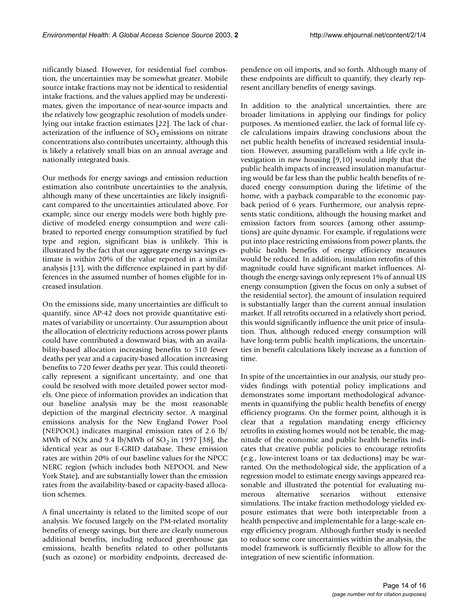nificantly biased. However, for residential fuel combustion, the uncertainties may be somewhat greater. Mobile source intake fractions may not be identical to residential intake fractions, and the values applied may be underestimates, given the importance of near-source impacts and the relatively low geographic resolution of models underlying our intake fraction estimates [22]. The lack of characterization of the influence of  $SO_2$  emissions on nitrate concentrations also contributes uncertainty, although this is likely a relatively small bias on an annual average and nationally integrated basis.

Our methods for energy savings and emission reduction estimation also contribute uncertainties to the analysis, although many of these uncertainties are likely insignificant compared to the uncertainties articulated above. For example, since our energy models were both highly predictive of modeled energy consumption and were calibrated to reported energy consumption stratified by fuel type and region, significant bias is unlikely. This is illustrated by the fact that our aggregate energy savings estimate is within 20% of the value reported in a similar analysis [13], with the difference explained in part by differences in the assumed number of homes eligible for increased insulation.

On the emissions side, many uncertainties are difficult to quantify, since AP-42 does not provide quantitative estimates of variability or uncertainty. Our assumption about the allocation of electricity reductions across power plants could have contributed a downward bias, with an availability-based allocation increasing benefits to 510 fewer deaths per year and a capacity-based allocation increasing benefits to 720 fewer deaths per year. This could theoretically represent a significant uncertainty, and one that could be resolved with more detailed power sector models. One piece of information provides an indication that our baseline analysis may be the most reasonable depiction of the marginal electricity sector. A marginal emissions analysis for the New England Power Pool (NEPOOL) indicates marginal emission rates of 2.6 lb/ MWh of NOx and 9.4 lb/MWh of  $SO_2$  in 1997 [38], the identical year as our E-GRID database. These emission rates are within 20% of our baseline values for the NPCC NERC region (which includes both NEPOOL and New York State), and are substantially lower than the emission rates from the availability-based or capacity-based allocation schemes.

A final uncertainty is related to the limited scope of our analysis. We focused largely on the PM-related mortality benefits of energy savings, but there are clearly numerous additional benefits, including reduced greenhouse gas emissions, health benefits related to other pollutants (such as ozone) or morbidity endpoints, decreased dependence on oil imports, and so forth. Although many of these endpoints are difficult to quantify, they clearly represent ancillary benefits of energy savings.

In addition to the analytical uncertainties, there are broader limitations in applying our findings for policy purposes. As mentioned earlier, the lack of formal life cycle calculations impairs drawing conclusions about the net public health benefits of increased residential insulation. However, assuming parallelism with a life cycle investigation in new housing [9,10] would imply that the public health impacts of increased insulation manufacturing would be far less than the public health benefits of reduced energy consumption during the lifetime of the home, with a payback comparable to the economic payback period of 6 years. Furthermore, our analysis represents static conditions, although the housing market and emission factors from sources (among other assumptions) are quite dynamic. For example, if regulations were put into place restricting emissions from power plants, the public health benefits of energy efficiency measures would be reduced. In addition, insulation retrofits of this magnitude could have significant market influences. Although the energy savings only represent 1% of annual US energy consumption (given the focus on only a subset of the residential sector), the amount of insulation required is substantially larger than the current annual insulation market. If all retrofits occurred in a relatively short period, this would significantly influence the unit price of insulation. Thus, although reduced energy consumption will have long-term public health implications, the uncertainties in benefit calculations likely increase as a function of time.

In spite of the uncertainties in our analysis, our study provides findings with potential policy implications and demonstrates some important methodological advancements in quantifying the public health benefits of energy efficiency programs. On the former point, although it is clear that a regulation mandating energy efficiency retrofits in existing homes would not be tenable, the magnitude of the economic and public health benefits indicates that creative public policies to encourage retrofits (e.g., low-interest loans or tax deductions) may be warranted. On the methodological side, the application of a regression model to estimate energy savings appeared reasonable and illustrated the potential for evaluating numerous alternative scenarios without extensive simulations. The intake fraction methodology yielded exposure estimates that were both interpretable from a health perspective and implementable for a large-scale energy efficiency program. Although further study is needed to reduce some core uncertainties within the analysis, the model framework is sufficiently flexible to allow for the integration of new scientific information.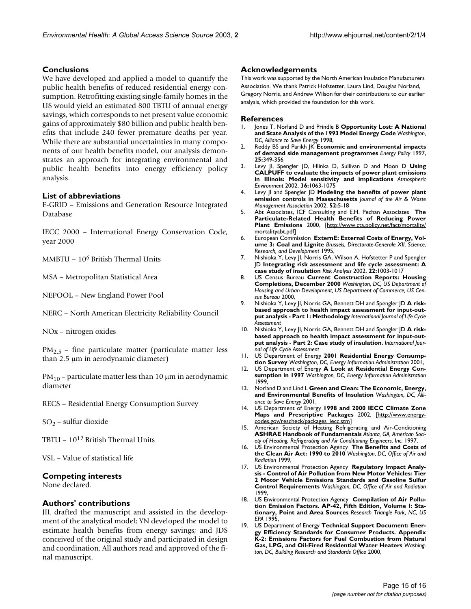# **Conclusions**

We have developed and applied a model to quantify the public health benefits of reduced residential energy consumption. Retrofitting existing single-family homes in the US would yield an estimated 800 TBTU of annual energy savings, which corresponds to net present value economic gains of approximately \$80 billion and public health benefits that include 240 fewer premature deaths per year. While there are substantial uncertainties in many components of our health benefits model, our analysis demonstrates an approach for integrating environmental and public health benefits into energy efficiency policy analysis.

# **List of abbreviations**

E-GRID – Emissions and Generation Resource Integrated Database

IECC 2000 – International Energy Conservation Code, year 2000

MMBTU – 106 British Thermal Units

MSA – Metropolitan Statistical Area

NEPOOL – New England Power Pool

NERC – North American Electricity Reliability Council

NOx – nitrogen oxides

 $PM<sub>2.5</sub>$  – fine particulate matter (particulate matter less than 2.5 µm in aerodynamic diameter)

 $PM_{10}$  – particulate matter less than 10  $\mu$ m in aerodynamic diameter

RECS – Residential Energy Consumption Survey

 $SO<sub>2</sub>$  – sulfur dioxide

TBTU – 1012 British Thermal Units

VSL – Value of statistical life

## **Competing interests**

None declared.

# **Authors' contributions**

JIL drafted the manuscript and assisted in the development of the analytical model; YN developed the model to estimate health benefits from energy savings; and JDS conceived of the original study and participated in design and coordination. All authors read and approved of the final manuscript.

# **Acknowledgements**

This work was supported by the North American Insulation Manufacturers Association. We thank Patrick Hofstetter, Laura Lind, Douglas Norland, Gregory Norris, and Andrew Wilson for their contributions to our earlier analysis, which provided the foundation for this work.

## **References**

- 1. Jones T, Norland D and Prindle B **Opportunity Lost: A National and State Analysis of the 1993 Model Energy Code** *Washington, DC, Alliance to Save Energy* 1998,
- 2. Reddy BS and Parikh JK **Economic and environmental impacts of demand side management programmes** *Energy Policy* 1997, **25:**349-356
- 3. Levy JI, Spengler JD, Hlinka D, Sullivan D and Moon D **Using CALPUFF to evaluate the impacts of power plant emissions in Illinois: Model sensitivity and implications** *Atmospheric Environment* 2002, **36:**1063-1075
- 4. Levy JI and Spengler JD **Modeling the benefits of power plant emission controls in Massachusetts** *Journal of the Air & Waste Management Association* 2002, **52:**5-18
- 5. Abt Associates, ICF Consulting and E.H. Pechan Associates **The Particulate-Related Health Benefits of Reducing Power Plant Emissions** 2000, [\[http://www.cta.policy.net/fact/mortality/](http://www.cta.policy.net/fact/mortality/mortalityabt.pdf) [mortalityabt.pdf\]](http://www.cta.policy.net/fact/mortality/mortalityabt.pdf)
- 6. European Commission **ExternE: External Costs of Energy, Volume 3: Coal and Lignite** *Brussels, Directorate-Generale XII, Science, Research, and Development* 1995,
- 7. Nishioka Y, Levy JI, Norris GA, Wilson A, Hofstetter P and Spengler JD **[Integrating risk assessment and life cycle assessment: A](http://www.ncbi.nlm.nih.gov/entrez/query.fcgi?cmd=Retrieve&db=PubMed&dopt=Abstract&list_uids=12442994) [case study of insulation](http://www.ncbi.nlm.nih.gov/entrez/query.fcgi?cmd=Retrieve&db=PubMed&dopt=Abstract&list_uids=12442994)** *Risk Analysis* 2002, **22:**1003-1017
- 8. US Census Bureau **Current Construction Reports: Housing Completions, December 2000** *Washington, DC, US Department of Housing and Urban Development, US Department of Commerce, US Census Bureau* 2000,
- Nishioka Y, Levy Jl, Norris GA, Bennett DH and Spengler JD A risk**based approach to health impact assessment for input-output analysis - Part 1: Methodology** *International Journal of Life Cycle Assessment*
- 10. Nishioka Y, Levy JI, Norris GA, Bennett DH and Spengler JD **A riskbased approach to health impact assessment for input-output analysis - Part 2: Case study of insulation.** *International Journal of Life Cycle Assessment*
- 11. US Department of Energy **2001 Residential Energy Consumption Survey** *Washington, DC, Energy Information Administration* 2001,
- 12. US Department of Energy **A Look at Residential Energy Consumption in 1997** *Washington, DC, Energy Information Administration* 1999,
- 13. Norland D and Lind L **Green and Clean: The Economic, Energy, and Environmental Benefits of Insulation** *Washington, DC, Alliance to Save Energy* 2001,
- 14. US Department of Energy **1998 and 2000 IECC Climate Zone Maps and Prescriptive Packages** 2002, [\[http://www.energy](http://www.energycodes.gov/rescheck/packages_iecc.stm)[codes.gov/rescheck/packages\\_iecc.stm](http://www.energycodes.gov/rescheck/packages_iecc.stm)]
- 15. American Society of Heating Refrigerating and Air-Conditioning **ASHRAE Handbook of Fundamentals** *Atlanta, GA, American Society of Heating, Refrigerating and Air Conditioning Engineers, Inc.* 1997,
- 16. US Environmental Protection Agency **The Benefits and Costs of the Clean Air Act: 1990 to 2010** *Washington, DC, Office of Air and Radiation* 1999,
- 17. US Environmental Protection Agency **Regulatory Impact Analysis - Control of Air Pollution from New Motor Vehicles: Tier 2 Motor Vehicle Emissions Standards and Gasoline Sulfur Control Requirements** *Washington, DC, Office of Air and Radiation* 1999,
- 18. US Environmental Protection Agency **Compilation of Air Pollution Emission Factors. AP-42, Fifth Edition, Volume I: Stationary, Point and Area Sources** *Research Triangle Park, NC, US EPA* 1995,
- 19. US Department of Energy **Technical Support Document: Energy Efficiency Standards for Consumer Products. Appendix K-2: Emissions Factors for Fuel Combustion from Natural Gas, LPG, and Oil-Fired Residential Water Heaters** *Washington, DC, Building Research and Standards Office* 2000,